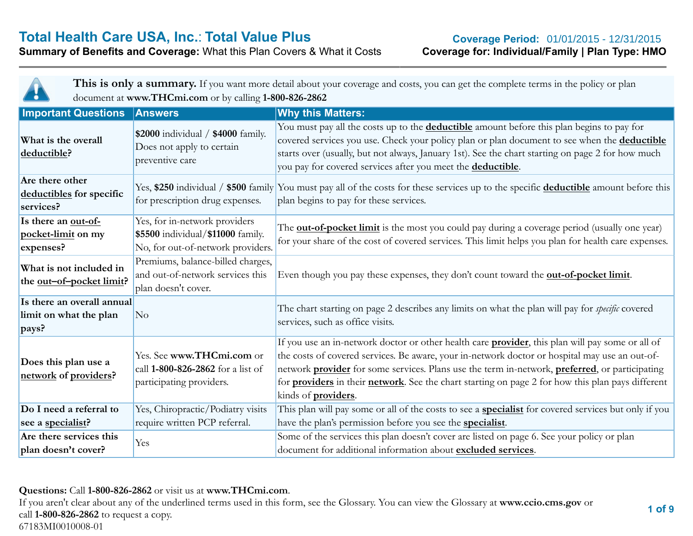#### **Summary of Benefits and Coverage: What this Plan Covers & What it Costs**



This is only a summary. If you want more detail about your coverage and costs, you can get the complete terms in the policy or plan document at **www.THCmi.com** or by calling **1-800-826-2862**

| <b>Important Questions</b>                                    | <b>Answers</b>                                                                                          | <b>Why this Matters:</b>                                                                                                                                                                                                                                                                                                                                                                                                                                                       |
|---------------------------------------------------------------|---------------------------------------------------------------------------------------------------------|--------------------------------------------------------------------------------------------------------------------------------------------------------------------------------------------------------------------------------------------------------------------------------------------------------------------------------------------------------------------------------------------------------------------------------------------------------------------------------|
| What is the overall<br>deductible?                            | \$2000 individual / \$4000 family.<br>Does not apply to certain<br>preventive care                      | You must pay all the costs up to the <b>deductible</b> amount before this plan begins to pay for<br>covered services you use. Check your policy plan or plan document to see when the deductible<br>starts over (usually, but not always, January 1st). See the chart starting on page 2 for how much<br>you pay for covered services after you meet the deductible.                                                                                                           |
| Are there other<br>deductibles for specific<br>services?      | for prescription drug expenses.                                                                         | Yes, \$250 individual / \$500 family You must pay all of the costs for these services up to the specific deductible amount before this<br>plan begins to pay for these services.                                                                                                                                                                                                                                                                                               |
| Is there an out-of-<br>pocket-limit on my<br>expenses?        | Yes, for in-network providers<br>\$5500 individual/\$11000 family.<br>No, for out-of-network providers. | The <b>out-of-pocket limit</b> is the most you could pay during a coverage period (usually one year)<br>for your share of the cost of covered services. This limit helps you plan for health care expenses.                                                                                                                                                                                                                                                                    |
| What is not included in<br>the <u>out-of-pocket limit</u> ?   | Premiums, balance-billed charges,<br>and out-of-network services this<br>plan doesn't cover.            | Even though you pay these expenses, they don't count toward the <b>out-of-pocket limit</b> .                                                                                                                                                                                                                                                                                                                                                                                   |
| Is there an overall annual<br>limit on what the plan<br>pays? | No                                                                                                      | The chart starting on page 2 describes any limits on what the plan will pay for <i>specific</i> covered<br>services, such as office visits.                                                                                                                                                                                                                                                                                                                                    |
| Does this plan use a<br>network of providers?                 | Yes. See www.THCmi.com or<br>call 1-800-826-2862 for a list of<br>participating providers.              | If you use an in-network doctor or other health care <b>provider</b> , this plan will pay some or all of<br>the costs of covered services. Be aware, your in-network doctor or hospital may use an out-of-<br>network <b>provider</b> for some services. Plans use the term in-network, <b>preferred</b> , or participating<br>for <b>providers</b> in their <b>network</b> . See the chart starting on page 2 for how this plan pays different<br>kinds of <b>providers</b> . |
| Do I need a referral to                                       | Yes, Chiropractic/Podiatry visits                                                                       | This plan will pay some or all of the costs to see a <b>specialist</b> for covered services but only if you                                                                                                                                                                                                                                                                                                                                                                    |
| see a specialist?                                             | require written PCP referral.                                                                           | have the plan's permission before you see the <b>specialist</b> .                                                                                                                                                                                                                                                                                                                                                                                                              |
| Are there services this<br>plan doesn't cover?                | Yes                                                                                                     | Some of the services this plan doesn't cover are listed on page 6. See your policy or plan<br>document for additional information about excluded services.                                                                                                                                                                                                                                                                                                                     |

#### **Questions:** Call **1-800-826-2862** or visit us at **www.THCmi.com**.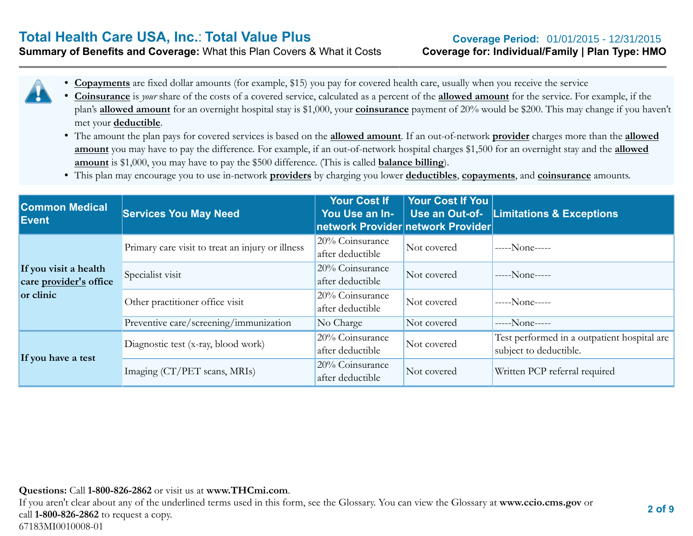## **Total Health Care USA, Inc.: Total Value Plus**

**Summary of Benefits and Coverage:** What this Plan Covers & What it Costs **Coverage for: Individual/Family | Plan Type: HMO Coverage Period: 01/01/2015 - 12/31/2015** 

- - **Copayments** are fixed dollar amounts (for example, \$15) you pay for covered health care, usually when you receive the service
		- **Coinsurance** is *your* share of the costs of a covered service, calculated as a percent of the **allowed amount** for the service. For example, if the plan's **allowed amount** for an overnight hospital stay is \$1,000, your **coinsurance** payment of 20% would be \$200. This may change if you haven't met your **deductible**.
		- The amount the plan pays for covered services is based on the **allowed amount**. If an out-of-network **provider** charges more than the **allowed amount** you may have to pay the difference. For example, if an out-of-network hospital charges \$1,500 for an overnight stay and the **allowed amount** is \$1,000, you may have to pay the \$500 difference. (This is called **balance billing**).
		- This plan may encourage you to use in-network **providers** by charging you lower **deductibles**, **copayments**, and **coinsurance** amounts.

| <b>Common Medical</b><br><b>Event</b>                        | <b>Services You May Need</b>                     | <b>Your Cost If</b><br>You Use an In- | Your Cost If You<br>Use an Out-of-<br>network Provider network Provider | <b>Limitations &amp; Exceptions</b>                                   |
|--------------------------------------------------------------|--------------------------------------------------|---------------------------------------|-------------------------------------------------------------------------|-----------------------------------------------------------------------|
|                                                              | Primary care visit to treat an injury or illness | 20% Coinsurance<br>after deductible   | Not covered                                                             | $---None---$                                                          |
| If you visit a health<br>care provider's office<br>or clinic | Specialist visit                                 | 20% Coinsurance<br>after deductible   | Not covered                                                             | $---None---$                                                          |
|                                                              | Other practitioner office visit                  | 20% Coinsurance<br>after deductible   | Not covered                                                             | $---None---$                                                          |
|                                                              | Preventive care/screening/immunization           | No Charge                             | Not covered                                                             | $---None---$                                                          |
| If you have a test                                           | Diagnostic test (x-ray, blood work)              | 20% Coinsurance<br>after deductible   | Not covered                                                             | Test performed in a outpatient hospital are<br>subject to deductible. |
|                                                              | Imaging (CT/PET scans, MRIs)                     | 20% Coinsurance<br>after deductible   | Not covered                                                             | Written PCP referral required                                         |

#### **Questions:** Call **1-800-826-2862** or visit us at **www.THCmi.com**.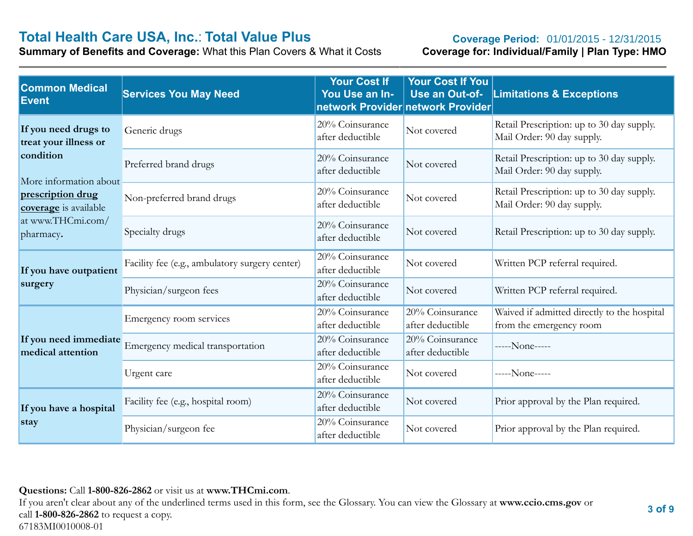# **Total Health Care USA, Inc.: Total Value Plus**<br> **Summary of Benefits and Coverage:** What this Plan Covers & What it Costs **Coverage for: Individual/Family | Plan Type: HMO**

**Summary of Benefits and Coverage: What this Plan Covers & What it Costs** 

#### Coverage Period: 01/01/2015 - 12/31/2015

| <b>Common Medical</b><br>Event                | <b>Services You May Need</b>                   | <b>Your Cost If</b><br>You Use an In- | <b>Your Cost If You</b><br>Use an Out-of-<br>network Provider network Provider | <b>Limitations &amp; Exceptions</b>                                     |
|-----------------------------------------------|------------------------------------------------|---------------------------------------|--------------------------------------------------------------------------------|-------------------------------------------------------------------------|
| If you need drugs to<br>treat your illness or | Generic drugs                                  | 20% Coinsurance<br>after deductible   | Not covered                                                                    | Retail Prescription: up to 30 day supply.<br>Mail Order: 90 day supply. |
| condition<br>More information about           | Preferred brand drugs                          | 20% Coinsurance<br>after deductible   | Not covered                                                                    | Retail Prescription: up to 30 day supply.<br>Mail Order: 90 day supply. |
| prescription drug<br>coverage is available    | Non-preferred brand drugs                      | 20% Coinsurance<br>after deductible   | Not covered                                                                    | Retail Prescription: up to 30 day supply.<br>Mail Order: 90 day supply. |
| at www.THCmi.com/<br>pharmacy.                | Specialty drugs                                | 20% Coinsurance<br>after deductible   | Not covered                                                                    | Retail Prescription: up to 30 day supply.                               |
| If you have outpatient                        | Facility fee (e.g., ambulatory surgery center) | 20% Coinsurance<br>after deductible   | Not covered                                                                    | Written PCP referral required.                                          |
| surgery                                       | Physician/surgeon fees                         | 20% Coinsurance<br>after deductible   | Not covered                                                                    | Written PCP referral required.                                          |
|                                               | Emergency room services                        | 20% Coinsurance<br>after deductible   | 20% Coinsurance<br>after deductible                                            | Waived if admitted directly to the hospital<br>from the emergency room  |
| If you need immediate<br>medical attention    | Emergency medical transportation               | 20% Coinsurance<br>after deductible   | 20% Coinsurance<br>after deductible                                            | -----None-----                                                          |
|                                               | Urgent care                                    | 20% Coinsurance<br>after deductible   | Not covered                                                                    | -----None-----                                                          |
| If you have a hospital<br>stay                | Facility fee (e.g., hospital room)             | 20% Coinsurance<br>after deductible   | Not covered                                                                    | Prior approval by the Plan required.                                    |
|                                               | Physician/surgeon fee                          | 20% Coinsurance<br>after deductible   | Not covered                                                                    | Prior approval by the Plan required.                                    |

#### **Questions:** Call **1-800-826-2862** or visit us at **www.THCmi.com**.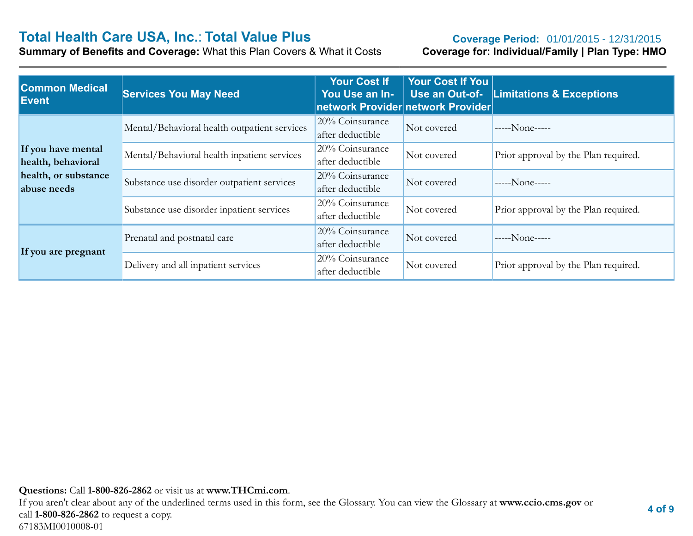# **Total Health Care USA, Inc.: Total Value Plus**<br> **Summary of Benefits and Coverage:** What this Plan Covers & What it Costs **Coverage for: Individual/Family | Plan Type: HMO**

**Summary of Benefits and Coverage: What this Plan Covers & What it Costs** 

#### **Coverage Period: 01/01/2015 - 12/31/2015**

| <b>Common Medical</b><br><b>Event</b>    | <b>Services You May Need</b>                 | <b>Your Cost If</b><br>You Use an In-<br>network Provider network Provider | <b>Your Cost If You</b><br>Use an Out-of- | <b>Limitations &amp; Exceptions</b>  |
|------------------------------------------|----------------------------------------------|----------------------------------------------------------------------------|-------------------------------------------|--------------------------------------|
|                                          | Mental/Behavioral health outpatient services | 20% Coinsurance<br>after deductible                                        | Not covered                               | $---None---$                         |
| If you have mental<br>health, behavioral | Mental/Behavioral health inpatient services  | 20% Coinsurance<br>after deductible                                        | Not covered                               | Prior approval by the Plan required. |
| health, or substance<br>abuse needs      | Substance use disorder outpatient services   | 20% Coinsurance<br>after deductible                                        | Not covered                               | $---None---$                         |
|                                          | Substance use disorder inpatient services    | 20% Coinsurance<br>after deductible                                        | Not covered                               | Prior approval by the Plan required. |
| If you are pregnant                      | Prenatal and postnatal care                  | 20% Coinsurance<br>after deductible                                        | Not covered                               | $---None---$                         |
|                                          | Delivery and all inpatient services          | 20% Coinsurance<br>after deductible                                        | Not covered                               | Prior approval by the Plan required. |

**Questions:** Call **1-800-826-2862** or visit us at **www.THCmi.com**.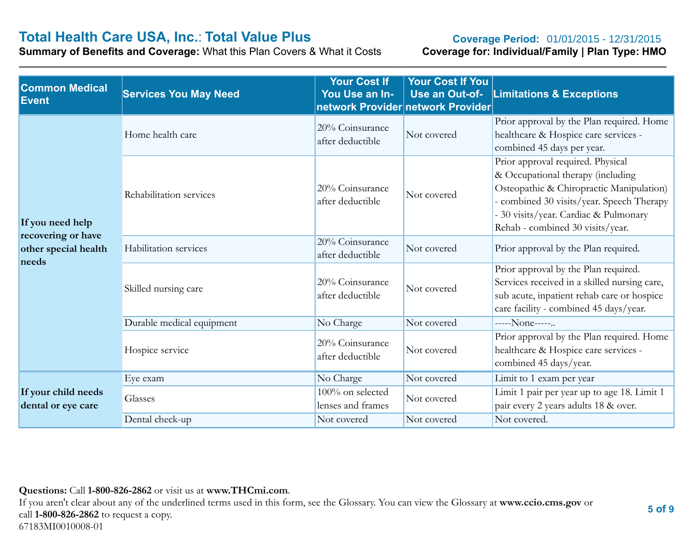# **Total Health Care USA, Inc.: Total Value Plus**<br> **Summary of Benefits and Coverage:** What this Plan Covers & What it Costs **Coverage for: Individual/Family | Plan Type: HMO**

**Summary of Benefits and Coverage: What this Plan Covers & What it Costs** 

#### **Coverage Period: 01/01/2015 - 12/31/2015**

| <b>Common Medical</b><br><b>Event</b>      | <b>Services You May Need</b> | <b>Your Cost If</b><br>You Use an In-<br>network Provider network Provider | <b>Your Cost If You</b><br>Use an Out-of- | <b>Limitations &amp; Exceptions</b>                                                                                                                                                                                                          |
|--------------------------------------------|------------------------------|----------------------------------------------------------------------------|-------------------------------------------|----------------------------------------------------------------------------------------------------------------------------------------------------------------------------------------------------------------------------------------------|
| If you need help                           | Home health care             | 20% Coinsurance<br>after deductible                                        | Not covered                               | Prior approval by the Plan required. Home<br>healthcare & Hospice care services -<br>combined 45 days per year.                                                                                                                              |
|                                            | Rehabilitation services      | 20% Coinsurance<br>after deductible                                        | Not covered                               | Prior approval required. Physical<br>& Occupational therapy (including<br>Osteopathic & Chiropractic Manipulation)<br>- combined 30 visits/year. Speech Therapy<br>- 30 visits/year. Cardiac & Pulmonary<br>Rehab - combined 30 visits/year. |
| recovering or have<br>other special health | Habilitation services        | 20% Coinsurance<br>after deductible                                        | Not covered                               | Prior approval by the Plan required.                                                                                                                                                                                                         |
| needs                                      | Skilled nursing care         | 20% Coinsurance<br>after deductible                                        | Not covered                               | Prior approval by the Plan required.<br>Services received in a skilled nursing care,<br>sub acute, inpatient rehab care or hospice<br>care facility - combined 45 days/year.                                                                 |
|                                            | Durable medical equipment    | No Charge                                                                  | Not covered                               | -----None-----                                                                                                                                                                                                                               |
|                                            | Hospice service              | 20% Coinsurance<br>after deductible                                        | Not covered                               | Prior approval by the Plan required. Home<br>healthcare & Hospice care services -<br>combined 45 days/year.                                                                                                                                  |
|                                            | Eye exam                     | No Charge                                                                  | Not covered                               | Limit to 1 exam per year                                                                                                                                                                                                                     |
| If your child needs<br>dental or eye care  | Glasses                      | 100% on selected<br>lenses and frames                                      | Not covered                               | Limit 1 pair per year up to age 18. Limit 1<br>pair every 2 years adults 18 & over.                                                                                                                                                          |
|                                            | Dental check-up              | Not covered                                                                | Not covered                               | Not covered.                                                                                                                                                                                                                                 |

#### **Questions:** Call **1-800-826-2862** or visit us at **www.THCmi.com**.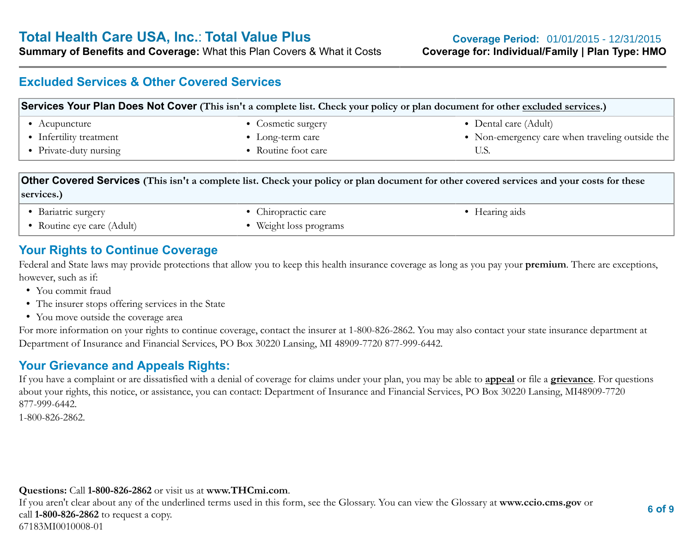**Summary of Benefits and Coverage:** What this Plan Covers & What it Costs **Coverage for: Individual/Family | Plan Type: HMO**

#### **Excluded Services & Other Covered Services**

| Services Your Plan Does Not Cover (This isn't a complete list. Check your policy or plan document for other excluded services.) |                          |                                                 |  |
|---------------------------------------------------------------------------------------------------------------------------------|--------------------------|-------------------------------------------------|--|
| • Acupuncture                                                                                                                   | • Cosmetic surgery       | • Dental care (Adult)                           |  |
| • Infertility treatment                                                                                                         | $\bullet$ Long-term care | • Non-emergency care when traveling outside the |  |
| • Private-duty nursing                                                                                                          | • Routine foot care      |                                                 |  |
|                                                                                                                                 |                          |                                                 |  |

#### **Other Covered Services (This isn't a complete list. Check your policy or plan document for other covered services and your costs for these services.)**

• Bariatric surgery

• Routine eye care (Adult)

<span id="page-5-0"></span>• Chiropractic care

• Weight loss programs

• Hearing aids

#### **Your Rights to Continue Coverage**

Federal and State laws may provide protections that allow you to keep this health insurance coverage as long as you pay your **premium**. There are exceptions, however, such as if:

- You commit fraud
- The insurer stops offering services in the State
- You move outside the coverage area

For more information on your rights to continue coverage, contact the insurer at 1-800-826-2862. You may also contact your state insurance department at Department of Insurance and Financial Services, PO Box 30220 Lansing, MI 48909-7720 877-999-6442.

### **Your Grievance and Appeals Rights:**

If you have a complaint or are dissatisfied with a denial of coverage for claims under your plan, you may be able to **appeal** or file a **grievance**. For questions about your rights, this notice, or assistance, you can contact: Department of Insurance and Financial Services, PO Box 30220 Lansing, MI48909-7720 877-999-6442.

1-800-826-2862.

#### **Questions:** Call **1-800-826-2862** or visit us at **www.THCmi.com**.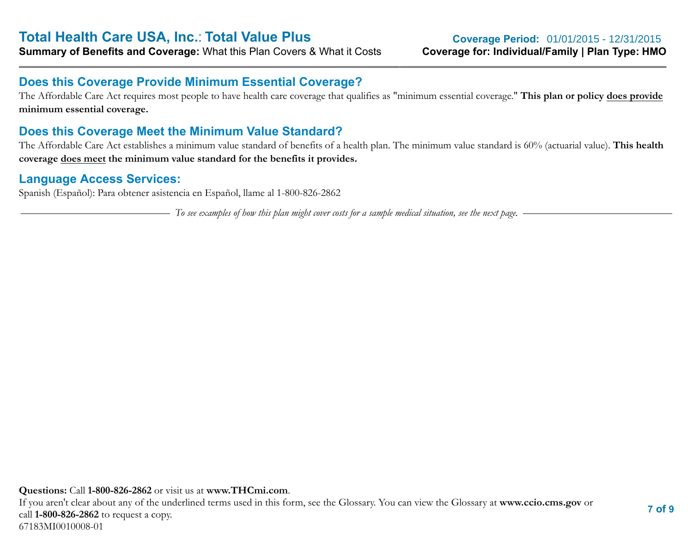#### **Does this Coverage Provide Minimum Essential Coverage?**

The Affordable Care Act requires most people to have health care coverage that qualifies as "minimum essential coverage." **This plan or policy does provide minimum essential coverage.**

#### **Does this Coverage Meet the Minimum Value Standard?**

The Affordable Care Act establishes a minimum value standard of benefits of a health plan. The minimum value standard is 60% (actuarial value). **This health coverage does meet the minimum value standard for the benefits it provides.**

#### **Language Access Services:**

Spanish (Español): Para obtener asistencia en Español, llame al 1-800-826-2862

*To see examples of how this plan might cover costs for a sample medical situation, see the next page.*

**Questions:** Call **1-800-826-2862** or visit us at **www.THCmi.com**. If you aren't clear about any of the underlined terms used in this form, see the Glossary. You can view the Glossary at **www.ccio.cms.gov** or call **1-800-826-2862** to request a copy. 67183MI0010008-01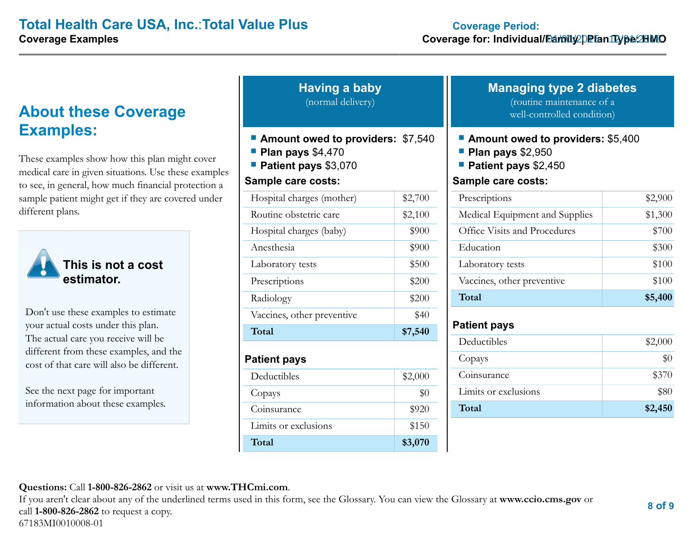### **About these Coverage Examples:**

These examples show how this plan might cover medical care in given situations. Use these examples to see, in general, how much financial protection a sample patient might get if they are covered under different plans.



**This is not a cost estimator.**

Don't use these examples to estimate your actual costs under this plan. The actual care you receive will be different from these examples, and the cost of that care will also be different.

See the next page for important information about these examples.

| <b>Having a baby</b> |  |
|----------------------|--|
| (normal delivery)    |  |

- **Amount owed to providers:** \$7,540
- **Plan pays** \$4,470
- **Patient pays** \$3,070

#### **Sample care costs:**

| Total                      | \$7,540 |
|----------------------------|---------|
| Vaccines, other preventive | \$40    |
| Radiology                  | \$200   |
| Prescriptions              | \$200   |
| Laboratory tests           | \$500   |
| Anesthesia                 | \$900   |
| Hospital charges (baby)    | \$900   |
| Routine obstetric care     | \$2,100 |
| Hospital charges (mother)  | \$2,700 |

#### **Patient pays**

| Deductibles          | \$2,000 |
|----------------------|---------|
| Copays               | $\$0$   |
| Coinsurance          | \$920   |
| Limits or exclusions | \$150   |
| Total                | \$3,070 |

#### **Managing type 2 diabetes** (routine maintenance of a

well-controlled condition)

- **Amount owed to providers:** \$5,400
- **Plan pays** \$2,950
- **Patient pays** \$2,450

#### **Sample care costs:**

| Prescriptions                       | \$2,900 |
|-------------------------------------|---------|
| Medical Equipment and Supplies      | \$1,300 |
| <b>Office Visits and Procedures</b> | \$700   |
| Education                           | \$300   |
| Laboratory tests                    | \$100   |
| Vaccines, other preventive          | \$100   |
| Total                               | \$5,400 |

#### **Patient pays**

| Deductibles          | \$2,000 |
|----------------------|---------|
| Copays               | \$0     |
| Coinsurance          | \$370   |
| Limits or exclusions | \$80    |
| Total                | \$2,450 |

**Questions:** Call **1-800-826-2862** or visit us at **www.THCmi.com**.